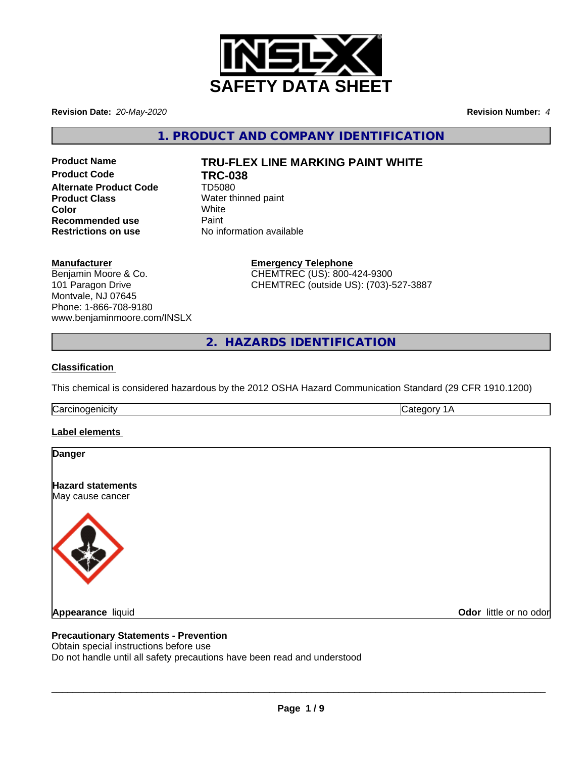

**Revision Date:** *20-May-2020* **Revision Number:** *4*

**1. PRODUCT AND COMPANY IDENTIFICATION**

**Product Code TRC-038 Alternate Product Code** TD5080 **Product Class** Water thinned paint **Color** White White **Recommended use** Paint<br> **Restrictions on use No information available Restrictions on use** 

# **Product Name TRU-FLEX LINE MARKING PAINT WHITE**

**Manufacturer**

Benjamin Moore & Co. 101 Paragon Drive Montvale, NJ 07645 Phone: 1-866-708-9180 www.benjaminmoore.com/INSLX **Emergency Telephone** CHEMTREC (US): 800-424-9300 CHEMTREC (outside US): (703)-527-3887

**2. HAZARDS IDENTIFICATION**

#### **Classification**

This chemical is considered hazardous by the 2012 OSHA Hazard Communication Standard (29 CFR 1910.1200)

Carcinogenicity **Category 1A** 

#### **Label elements**

| <b>Danger</b>                                |                        |
|----------------------------------------------|------------------------|
| <b>Hazard statements</b><br>May cause cancer |                        |
|                                              |                        |
| Appearance liquid                            | Odor little or no odor |

# **Precautionary Statements - Prevention**

Obtain special instructions before use

Do not handle until all safety precautions have been read and understood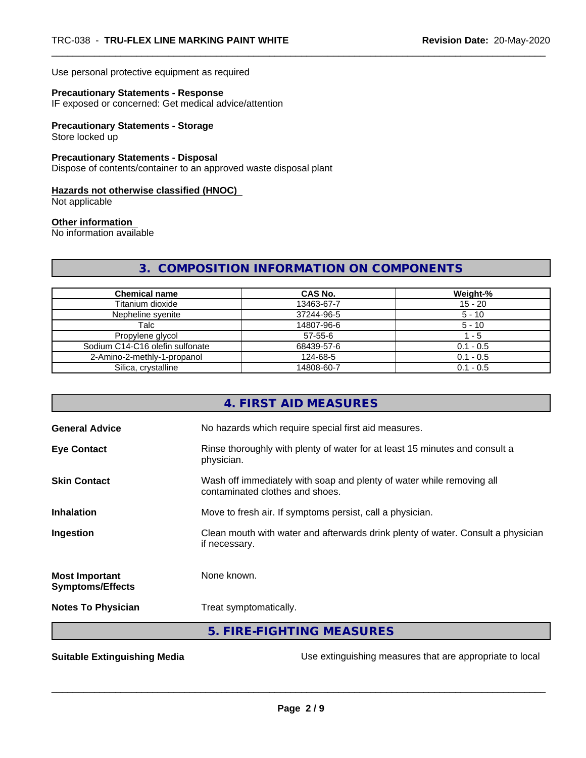Use personal protective equipment as required

#### **Precautionary Statements - Response**

IF exposed or concerned: Get medical advice/attention

#### **Precautionary Statements - Storage**

Store locked up

#### **Precautionary Statements - Disposal**

Dispose of contents/container to an approved waste disposal plant

#### **Hazards not otherwise classified (HNOC)**

Not applicable

#### **Other information**

No information available

# **3. COMPOSITION INFORMATION ON COMPONENTS**

| <b>Chemical name</b>            | <b>CAS No.</b> | Weight-%    |
|---------------------------------|----------------|-------------|
| Titanium dioxide                | 13463-67-7     | $15 - 20$   |
| Nepheline syenite               | 37244-96-5     | $5 - 10$    |
| Talc                            | 14807-96-6     | $5 - 10$    |
| Propylene glycol                | $57 - 55 - 6$  | l - 5       |
| Sodium C14-C16 olefin sulfonate | 68439-57-6     | $0.1 - 0.5$ |
| 2-Amino-2-methly-1-propanol     | 124-68-5       | $0.1 - 0.5$ |
| Silica, crystalline             | 14808-60-7     | $0.1 - 0.5$ |

|                                                  | 5. FIRE-FIGHTING MEASURES                                                                                |
|--------------------------------------------------|----------------------------------------------------------------------------------------------------------|
| <b>Notes To Physician</b>                        | Treat symptomatically.                                                                                   |
| <b>Most Important</b><br><b>Symptoms/Effects</b> | None known.                                                                                              |
| Ingestion                                        | Clean mouth with water and afterwards drink plenty of water. Consult a physician<br>if necessary.        |
| <b>Inhalation</b>                                | Move to fresh air. If symptoms persist, call a physician.                                                |
| <b>Skin Contact</b>                              | Wash off immediately with soap and plenty of water while removing all<br>contaminated clothes and shoes. |
| <b>Eye Contact</b>                               | Rinse thoroughly with plenty of water for at least 15 minutes and consult a<br>physician.                |
| <b>General Advice</b>                            | No hazards which require special first aid measures.                                                     |
|                                                  | 4. FIRST AID MEASURES                                                                                    |

**Suitable Extinguishing Media** Maching 1992 Use extinguishing measures that are appropriate to local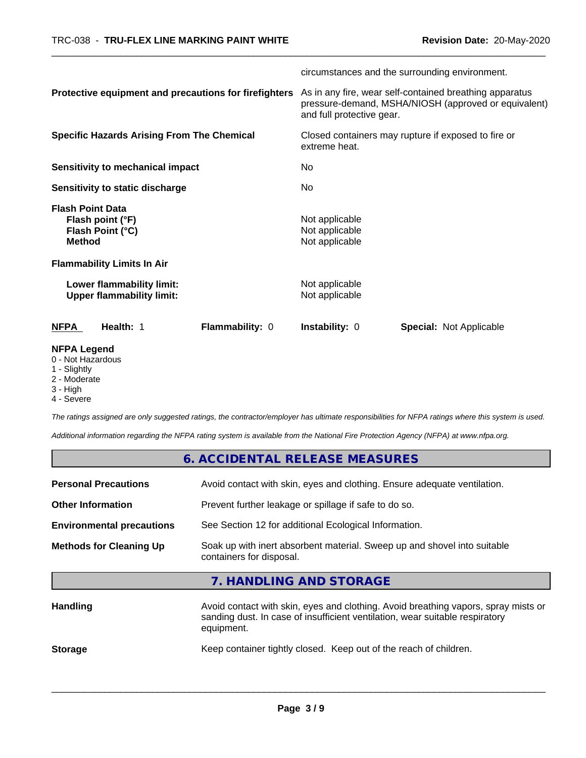|                                                                                  | circumstances and the surrounding environment.                                                                                               |  |
|----------------------------------------------------------------------------------|----------------------------------------------------------------------------------------------------------------------------------------------|--|
| Protective equipment and precautions for firefighters                            | As in any fire, wear self-contained breathing apparatus<br>pressure-demand, MSHA/NIOSH (approved or equivalent)<br>and full protective gear. |  |
| <b>Specific Hazards Arising From The Chemical</b>                                | Closed containers may rupture if exposed to fire or<br>extreme heat.                                                                         |  |
| <b>Sensitivity to mechanical impact</b>                                          | No.                                                                                                                                          |  |
| <b>Sensitivity to static discharge</b>                                           | No.                                                                                                                                          |  |
| <b>Flash Point Data</b><br>Flash point (°F)<br>Flash Point (°C)<br><b>Method</b> | Not applicable<br>Not applicable<br>Not applicable                                                                                           |  |
| <b>Flammability Limits In Air</b>                                                |                                                                                                                                              |  |
| Lower flammability limit:<br><b>Upper flammability limit:</b>                    | Not applicable<br>Not applicable                                                                                                             |  |
| Health: 1<br>Flammability: 0<br>NFPA                                             | <b>Instability: 0</b><br><b>Special: Not Applicable</b>                                                                                      |  |
| <b>NFPA Legend</b><br>0 - Not Hazardous<br>1 - Slightly                          |                                                                                                                                              |  |

- Slightly
- 2 Moderate
- 3 High
- 4 Severe

*The ratings assigned are only suggested ratings, the contractor/employer has ultimate responsibilities for NFPA ratings where this system is used.*

*Additional information regarding the NFPA rating system is available from the National Fire Protection Agency (NFPA) at www.nfpa.org.*

|                                  | 6. ACCIDENTAL RELEASE MEASURES                                                                                                                                                   |
|----------------------------------|----------------------------------------------------------------------------------------------------------------------------------------------------------------------------------|
| <b>Personal Precautions</b>      | Avoid contact with skin, eyes and clothing. Ensure adequate ventilation.                                                                                                         |
| <b>Other Information</b>         | Prevent further leakage or spillage if safe to do so.                                                                                                                            |
| <b>Environmental precautions</b> | See Section 12 for additional Ecological Information.                                                                                                                            |
| <b>Methods for Cleaning Up</b>   | Soak up with inert absorbent material. Sweep up and shovel into suitable<br>containers for disposal.                                                                             |
|                                  | 7. HANDLING AND STORAGE                                                                                                                                                          |
| <b>Handling</b>                  | Avoid contact with skin, eyes and clothing. Avoid breathing vapors, spray mists or<br>sanding dust. In case of insufficient ventilation, wear suitable respiratory<br>equipment. |
| <b>Storage</b>                   | Keep container tightly closed. Keep out of the reach of children.                                                                                                                |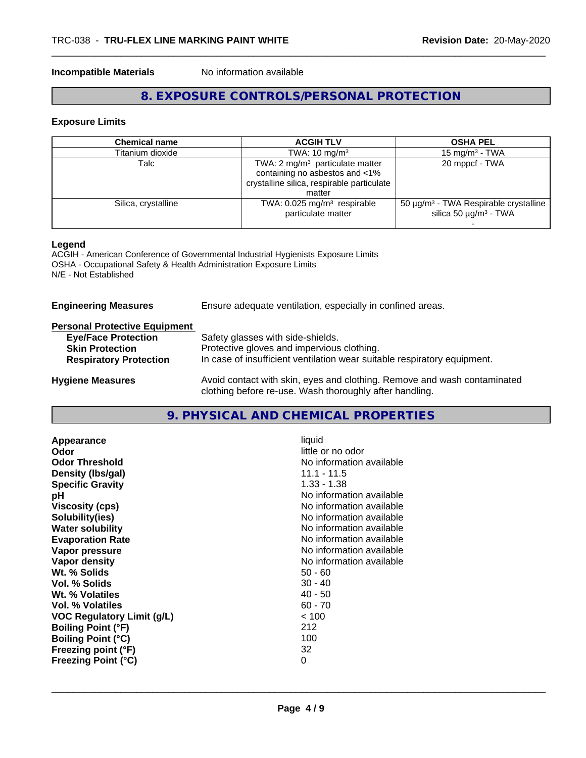#### **Incompatible Materials** No information available

# **8. EXPOSURE CONTROLS/PERSONAL PROTECTION**

#### **Exposure Limits**

| <b>Chemical name</b> | <b>ACGIH TLV</b>                                                                                                                     | <b>OSHA PEL</b>                                                                                  |
|----------------------|--------------------------------------------------------------------------------------------------------------------------------------|--------------------------------------------------------------------------------------------------|
| Titanium dioxide     | TWA: $10 \text{ mg/m}^3$                                                                                                             | 15 mg/m <sup>3</sup> - TWA                                                                       |
| Talc                 | TWA: $2 \text{ mg/m}^3$ particulate matter<br>containing no asbestos and <1%<br>crystalline silica, respirable particulate<br>matter | 20 mppcf - TWA                                                                                   |
| Silica, crystalline  | TWA: $0.025$ mg/m <sup>3</sup> respirable<br>particulate matter                                                                      | 50 $\mu$ g/m <sup>3</sup> - TWA Respirable crystalline<br>silica 50 $\mu$ g/m <sup>3</sup> - TWA |

#### **Legend**

ACGIH - American Conference of Governmental Industrial Hygienists Exposure Limits OSHA - Occupational Safety & Health Administration Exposure Limits N/E - Not Established

| <b>Engineering Measures</b> | Ensure adequate ventilation, especially in confined areas. |
|-----------------------------|------------------------------------------------------------|
|                             |                                                            |

# **Personal Protective Equipment**

| <b>Eye/Face Protection</b>    | Safety glasses with side-shields.                                                                                                   |
|-------------------------------|-------------------------------------------------------------------------------------------------------------------------------------|
| <b>Skin Protection</b>        | Protective gloves and impervious clothing.                                                                                          |
| <b>Respiratory Protection</b> | In case of insufficient ventilation wear suitable respiratory equipment.                                                            |
| <b>Hygiene Measures</b>       | Avoid contact with skin, eyes and clothing. Remove and wash contaminated<br>clothing before re-use. Wash thoroughly after handling. |

# **9. PHYSICAL AND CHEMICAL PROPERTIES**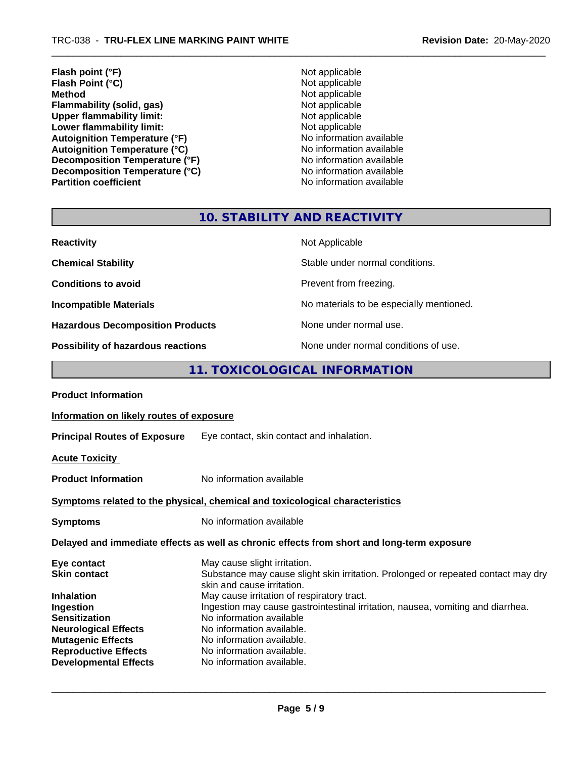- **Flash point (°F)**<br> **Flash Point (°C)**<br> **Flash Point (°C)**<br> **C Flash Point (°C)**<br>Method **Flammability (solid, gas)**<br> **Contains Upper flammability limit:**<br>
Upper flammability limit:<br>
Not applicable **Upper flammability limit:**<br> **Lower flammability limit:**<br>
Not applicable<br>
Not applicable **Lower flammability limit:**<br> **Autoignition Temperature (°F)**<br>
Mo information available Autoignition Temperature (°F)<br>
Autoignition Temperature (°C)<br>
No information available **Autoignition Temperature (°C)**<br> **Decomposition Temperature (°F)** No information available **Decomposition Temperature (°F)**<br> **Decomposition Temperature (°C)**<br>
No information available **Decomposition Temperature (°C) Partition coefficient Contract Contract Contract Contract Contract Contract Contract Contract Contract Contract Contract Contract Contract Contract Contract Contract Contract Contract Contract Contract Contract Contract** 
	- **Not applicable**<br>**Not applicable**

# **10. STABILITY AND REACTIVITY**

| <b>Reactivity</b>                         | Not Applicable                           |
|-------------------------------------------|------------------------------------------|
| <b>Chemical Stability</b>                 | Stable under normal conditions.          |
| <b>Conditions to avoid</b>                | Prevent from freezing.                   |
| <b>Incompatible Materials</b>             | No materials to be especially mentioned. |
| <b>Hazardous Decomposition Products</b>   | None under normal use.                   |
| <b>Possibility of hazardous reactions</b> | None under normal conditions of use.     |

# **11. TOXICOLOGICAL INFORMATION**

| <b>Product Information</b>                                                                                                                                                       |                                                                                                                                                                                                                                                                               |  |
|----------------------------------------------------------------------------------------------------------------------------------------------------------------------------------|-------------------------------------------------------------------------------------------------------------------------------------------------------------------------------------------------------------------------------------------------------------------------------|--|
| Information on likely routes of exposure                                                                                                                                         |                                                                                                                                                                                                                                                                               |  |
|                                                                                                                                                                                  | Principal Routes of Exposure Eye contact, skin contact and inhalation.                                                                                                                                                                                                        |  |
| <b>Acute Toxicity</b>                                                                                                                                                            |                                                                                                                                                                                                                                                                               |  |
| <b>Product Information</b>                                                                                                                                                       | No information available                                                                                                                                                                                                                                                      |  |
|                                                                                                                                                                                  | Symptoms related to the physical, chemical and toxicological characteristics                                                                                                                                                                                                  |  |
| <b>Symptoms</b>                                                                                                                                                                  | No information available                                                                                                                                                                                                                                                      |  |
|                                                                                                                                                                                  | Delayed and immediate effects as well as chronic effects from short and long-term exposure                                                                                                                                                                                    |  |
| Eye contact<br><b>Skin contact</b>                                                                                                                                               | May cause slight irritation.<br>Substance may cause slight skin irritation. Prolonged or repeated contact may dry<br>skin and cause irritation.                                                                                                                               |  |
| <b>Inhalation</b><br>Ingestion<br><b>Sensitization</b><br><b>Neurological Effects</b><br><b>Mutagenic Effects</b><br><b>Reproductive Effects</b><br><b>Developmental Effects</b> | May cause irritation of respiratory tract.<br>Ingestion may cause gastrointestinal irritation, nausea, vomiting and diarrhea.<br>No information available<br>No information available.<br>No information available.<br>No information available.<br>No information available. |  |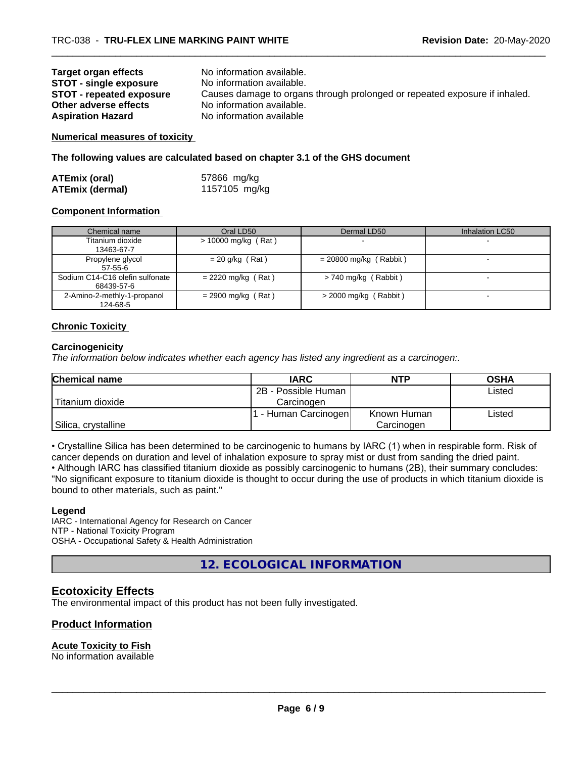| Target organ effects            | No information available.                                                  |
|---------------------------------|----------------------------------------------------------------------------|
| <b>STOT - single exposure</b>   | No information available.                                                  |
| <b>STOT - repeated exposure</b> | Causes damage to organs through prolonged or repeated exposure if inhaled. |
| Other adverse effects           | No information available.                                                  |
| <b>Aspiration Hazard</b>        | No information available                                                   |

**Numerical measures of toxicity**

**The following values are calculated based on chapter 3.1 of the GHS document**

| <b>ATEmix (oral)</b>   | 57866 mg/kg   |
|------------------------|---------------|
| <b>ATEmix (dermal)</b> | 1157105 mg/kg |

#### **Component Information**

| Chemical name                                 | Oral LD50            | Dermal LD50              | Inhalation LC50 |
|-----------------------------------------------|----------------------|--------------------------|-----------------|
| Titanium dioxide<br>13463-67-7                | > 10000 mg/kg (Rat)  |                          |                 |
| Propylene glycol<br>$57-55-6$                 | $= 20$ g/kg (Rat)    | $= 20800$ mg/kg (Rabbit) |                 |
| Sodium C14-C16 olefin sulfonate<br>68439-57-6 | $= 2220$ mg/kg (Rat) | $> 740$ mg/kg (Rabbit)   |                 |
| 2-Amino-2-methly-1-propanol<br>124-68-5       | $= 2900$ mg/kg (Rat) | $>$ 2000 mg/kg (Rabbit)  |                 |

#### **Chronic Toxicity**

#### **Carcinogenicity**

*The information below indicateswhether each agency has listed any ingredient as a carcinogen:.*

| <b>Chemical name</b> | <b>IARC</b>          | <b>NTP</b>  | <b>OSHA</b> |
|----------------------|----------------------|-------------|-------------|
|                      | 2B - Possible Human  |             | Listed      |
| Titanium dioxide     | Carcinogen           |             |             |
|                      | . - Human Carcinogen | Known Human | Listed      |
| Silica, crystalline  |                      | Carcinogen  |             |

• Crystalline Silica has been determined to be carcinogenic to humans by IARC (1) when in respirable form. Risk of cancer depends on duration and level of inhalation exposure to spray mist or dust from sanding the dried paint.

• Although IARC has classified titanium dioxide as possibly carcinogenic to humans (2B), their summary concludes: "No significant exposure to titanium dioxide is thought to occur during the use of products in which titanium dioxide is bound to other materials, such as paint."

#### **Legend**

IARC - International Agency for Research on Cancer NTP - National Toxicity Program OSHA - Occupational Safety & Health Administration

**12. ECOLOGICAL INFORMATION**

# **Ecotoxicity Effects**

The environmental impact of this product has not been fully investigated.

#### **Product Information**

#### **Acute Toxicity to Fish**

No information available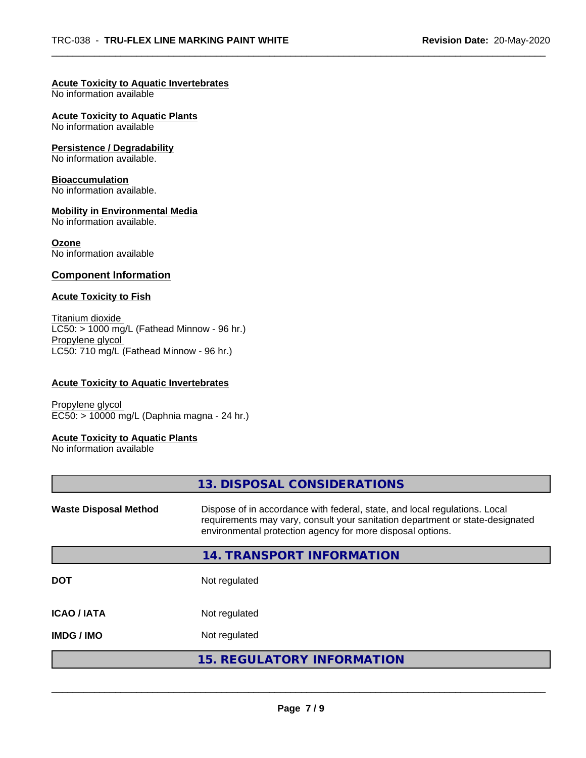#### **Acute Toxicity to Aquatic Invertebrates**

No information available

**Acute Toxicity to Aquatic Plants**

No information available

#### **Persistence / Degradability**

No information available.

#### **Bioaccumulation**

No information available.

#### **Mobility in Environmental Media**

No information available.

#### **Ozone**

No information available

#### **Component Information**

#### **Acute Toxicity to Fish**

Titanium dioxide  $LC50: > 1000$  mg/L (Fathead Minnow - 96 hr.) Propylene glycol LC50: 710 mg/L (Fathead Minnow - 96 hr.)

#### **Acute Toxicity to Aquatic Invertebrates**

Propylene glycol EC50: > 10000 mg/L (Daphnia magna - 24 hr.)

#### **Acute Toxicity to Aquatic Plants**

No information available

| 13. DISPOSAL CONSIDERATIONS                                                                                                                                                                                               |
|---------------------------------------------------------------------------------------------------------------------------------------------------------------------------------------------------------------------------|
| Dispose of in accordance with federal, state, and local regulations. Local<br>requirements may vary, consult your sanitation department or state-designated<br>environmental protection agency for more disposal options. |
| 14. TRANSPORT INFORMATION                                                                                                                                                                                                 |
| Not regulated                                                                                                                                                                                                             |
| Not regulated                                                                                                                                                                                                             |
| Not regulated                                                                                                                                                                                                             |
| <b>15. REGULATORY INFORMATION</b>                                                                                                                                                                                         |
|                                                                                                                                                                                                                           |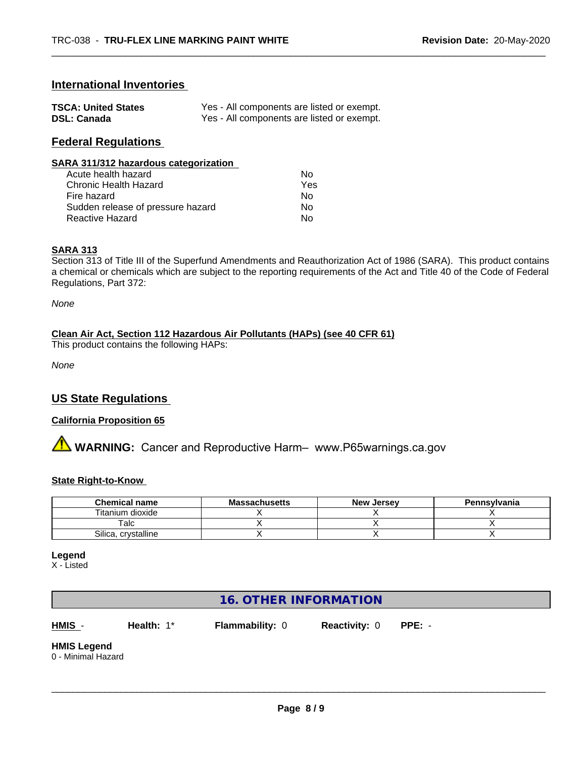## **International Inventories**

| <b>TSCA: United States</b> | Yes - All components are listed or exempt. |
|----------------------------|--------------------------------------------|
| <b>DSL: Canada</b>         | Yes - All components are listed or exempt. |

### **Federal Regulations**

| SARA 311/312 hazardous categorization |     |  |
|---------------------------------------|-----|--|
| Acute health hazard                   | Nο  |  |
| <b>Chronic Health Hazard</b>          | Yes |  |
| Fire hazard                           | Nο  |  |
| Sudden release of pressure hazard     | Nο  |  |
| <b>Reactive Hazard</b>                | No  |  |

#### **SARA 313**

Section 313 of Title III of the Superfund Amendments and Reauthorization Act of 1986 (SARA). This product contains a chemical or chemicals which are subject to the reporting requirements of the Act and Title 40 of the Code of Federal Regulations, Part 372:

*None*

#### **Clean Air Act,Section 112 Hazardous Air Pollutants (HAPs) (see 40 CFR 61)**

This product contains the following HAPs:

*None*

# **US State Regulations**

#### **California Proposition 65**

**A WARNING:** Cancer and Reproductive Harm– www.P65warnings.ca.gov

#### **State Right-to-Know**

| <b>Chemical name</b>   | <b>Massachusetts</b> | <b>New Jersey</b> | Pennsylvania |
|------------------------|----------------------|-------------------|--------------|
| Titanium dioxide       |                      |                   |              |
| Talc                   |                      |                   |              |
| Silica.<br>crystalline |                      |                   |              |

**Legend**

X - Listed

# **16. OTHER INFORMATION**

**HMIS** - **Health:** 1\* **Flammability:** 0 **Reactivity:** 0 **PPE:** -

 $\overline{\phantom{a}}$  ,  $\overline{\phantom{a}}$  ,  $\overline{\phantom{a}}$  ,  $\overline{\phantom{a}}$  ,  $\overline{\phantom{a}}$  ,  $\overline{\phantom{a}}$  ,  $\overline{\phantom{a}}$  ,  $\overline{\phantom{a}}$  ,  $\overline{\phantom{a}}$  ,  $\overline{\phantom{a}}$  ,  $\overline{\phantom{a}}$  ,  $\overline{\phantom{a}}$  ,  $\overline{\phantom{a}}$  ,  $\overline{\phantom{a}}$  ,  $\overline{\phantom{a}}$  ,  $\overline{\phantom{a}}$ 

**HMIS Legend**

0 - Minimal Hazard